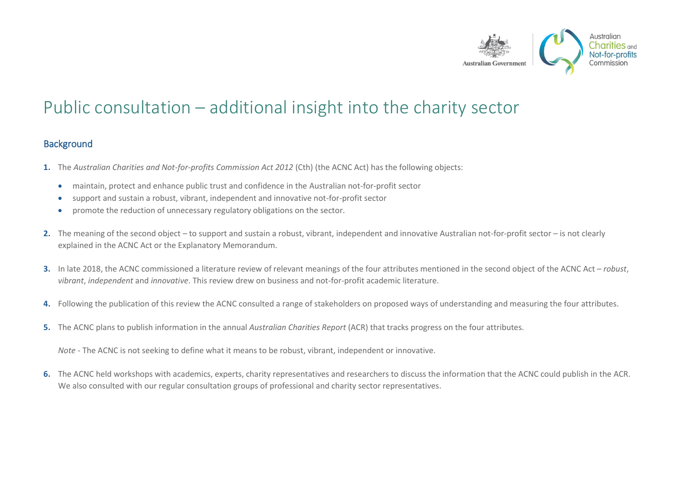

# Public consultation – additional insight into the charity sector

#### **Background**

- **1.** The *Australian Charities and Not-for-profits Commission Act 2012* (Cth) (the ACNC Act) has the following objects:
	- maintain, protect and enhance public trust and confidence in the Australian not-for-profit sector
	- support and sustain a robust, vibrant, independent and innovative not-for-profit sector
	- promote the reduction of unnecessary regulatory obligations on the sector.
- **2.** The meaning of the second object to support and sustain a robust, vibrant, independent and innovative Australian not-for-profit sector is not clearly explained in the ACNC Act or the Explanatory Memorandum.
- **3.** In late 2018, the ACNC commissioned a literature review of relevant meanings of the four attributes mentioned in the second object of the ACNC Act *robust*, *vibrant*, *independent* and *innovative*. This review drew on business and not-for-profit academic literature.
- **4.** Following the publication of this review the ACNC consulted a range of stakeholders on proposed ways of understanding and measuring the four attributes.
- **5.** The ACNC plans to publish information in the annual *Australian Charities Report* (ACR) that tracks progress on the four attributes.

*Note -* The ACNC is not seeking to define what it means to be robust, vibrant, independent or innovative.

**6.** The ACNC held workshops with academics, experts, charity representatives and researchers to discuss the information that the ACNC could publish in the ACR. We also consulted with our regular consultation groups of professional and charity sector representatives.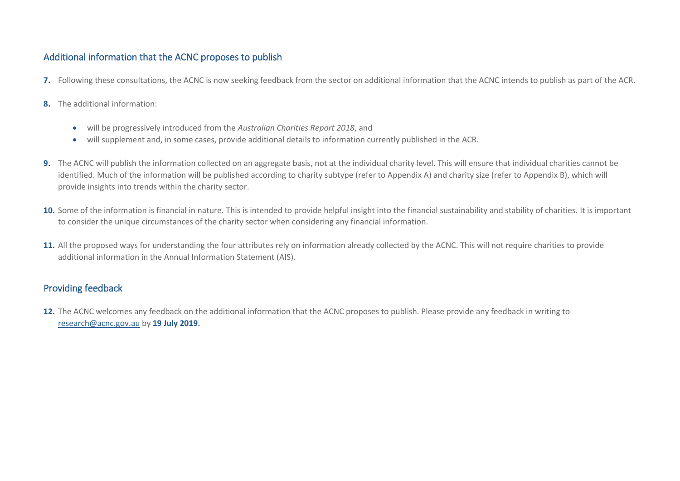### Additional information that the ACNC proposes to publish

- **7.** Following these consultations, the ACNC is now seeking feedback from the sector on additional information that the ACNC intends to publish as part of the ACR.
- **8.** The additional information:
	- will be progressively introduced from the *Australian Charities Report 2018*, and
	- will supplement and, in some cases, provide additional details to information currently published in the ACR.
- **9.** The ACNC will publish the information collected on an aggregate basis, not at the individual charity level. This will ensure that individual charities cannot be identified. Much of the information will be published according to charity subtype (refer to Appendix A) and charity size (refer to Appendix B), which will provide insights into trends within the charity sector.
- 10. Some of the information is financial in nature. This is intended to provide helpful insight into the financial sustainability and stability of charities. It is important to consider the unique circumstances of the charity sector when considering any financial information.
- **11.** All the proposed ways for understanding the four attributes rely on information already collected by the ACNC. This will not require charities to provide additional information in the Annual Information Statement (AIS).

### Providing feedback

**12.** The ACNC welcomes any feedback on the additional information that the ACNC proposes to publish. Please provide any feedback in writing to [research@acnc.gov.au](mailto:research@acnc.gov.au) by **19 July 2019**.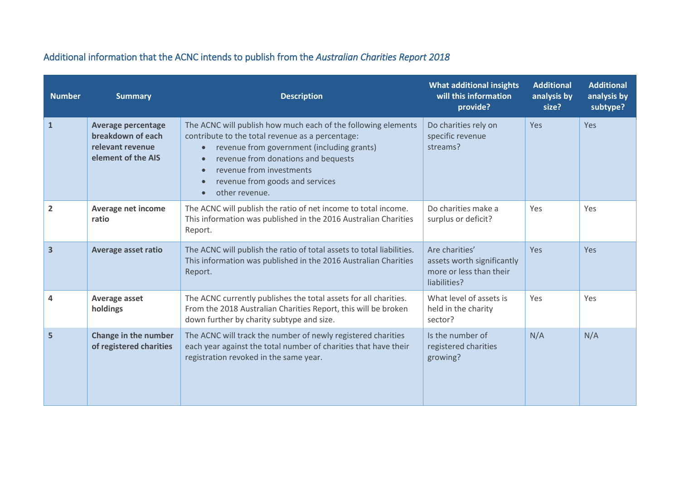| <b>Number</b>  | <b>Summary</b>                                                                           | <b>Description</b>                                                                                                                                                                                                                                                                                                | <b>What additional insights</b><br>will this information<br>provide?                    | <b>Additional</b><br>analysis by<br>size? | <b>Additional</b><br>analysis by<br>subtype? |
|----------------|------------------------------------------------------------------------------------------|-------------------------------------------------------------------------------------------------------------------------------------------------------------------------------------------------------------------------------------------------------------------------------------------------------------------|-----------------------------------------------------------------------------------------|-------------------------------------------|----------------------------------------------|
| $\mathbf{1}$   | <b>Average percentage</b><br>breakdown of each<br>relevant revenue<br>element of the AIS | The ACNC will publish how much each of the following elements<br>contribute to the total revenue as a percentage:<br>revenue from government (including grants)<br>$\bullet$<br>revenue from donations and bequests<br>revenue from investments<br>revenue from goods and services<br>other revenue.<br>$\bullet$ | Do charities rely on<br>specific revenue<br>streams?                                    | Yes                                       | Yes                                          |
| $\overline{2}$ | Average net income<br>ratio                                                              | The ACNC will publish the ratio of net income to total income.<br>This information was published in the 2016 Australian Charities<br>Report.                                                                                                                                                                      | Do charities make a<br>surplus or deficit?                                              | Yes                                       | Yes                                          |
| 3              | <b>Average asset ratio</b>                                                               | The ACNC will publish the ratio of total assets to total liabilities.<br>This information was published in the 2016 Australian Charities<br>Report.                                                                                                                                                               | Are charities'<br>assets worth significantly<br>more or less than their<br>liabilities? | Yes                                       | Yes                                          |
| 4              | Average asset<br>holdings                                                                | The ACNC currently publishes the total assets for all charities.<br>From the 2018 Australian Charities Report, this will be broken<br>down further by charity subtype and size.                                                                                                                                   | What level of assets is<br>held in the charity<br>sector?                               | Yes                                       | Yes                                          |
| 5              | Change in the number<br>of registered charities                                          | The ACNC will track the number of newly registered charities<br>each year against the total number of charities that have their<br>registration revoked in the same year.                                                                                                                                         | Is the number of<br>registered charities<br>growing?                                    | N/A                                       | N/A                                          |

## Additional information that the ACNC intends to publish from the *Australian Charities Report 2018*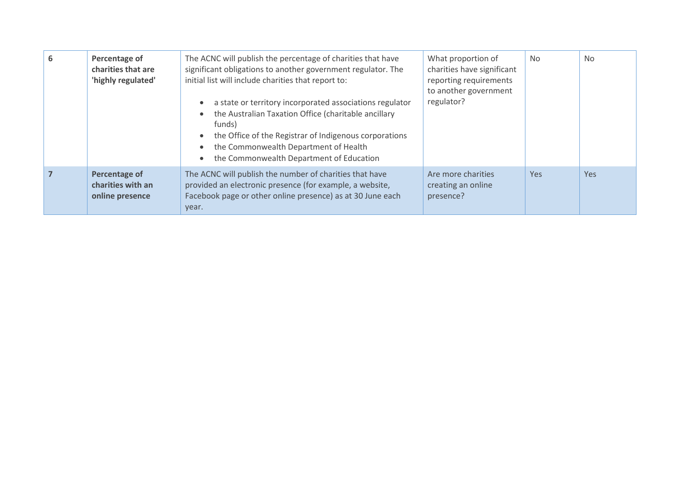| 6 | Percentage of<br>charities that are<br>'highly regulated' | The ACNC will publish the percentage of charities that have<br>significant obligations to another government regulator. The<br>initial list will include charities that report to:<br>a state or territory incorporated associations regulator<br>the Australian Taxation Office (charitable ancillary<br>funds)<br>the Office of the Registrar of Indigenous corporations<br>the Commonwealth Department of Health<br>the Commonwealth Department of Education | What proportion of<br>charities have significant<br>reporting requirements<br>to another government<br>regulator? | No         | <b>No</b> |
|---|-----------------------------------------------------------|-----------------------------------------------------------------------------------------------------------------------------------------------------------------------------------------------------------------------------------------------------------------------------------------------------------------------------------------------------------------------------------------------------------------------------------------------------------------|-------------------------------------------------------------------------------------------------------------------|------------|-----------|
|   | Percentage of<br>charities with an<br>online presence     | The ACNC will publish the number of charities that have<br>provided an electronic presence (for example, a website,<br>Facebook page or other online presence) as at 30 June each<br>year.                                                                                                                                                                                                                                                                      | Are more charities<br>creating an online<br>presence?                                                             | <b>Yes</b> | Yes       |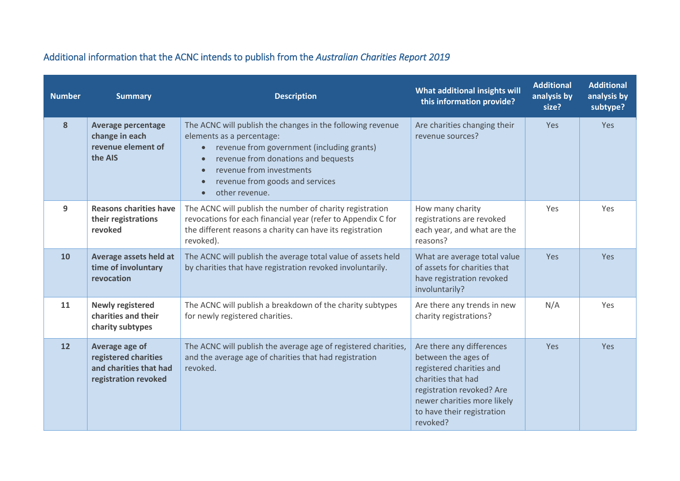| <b>Number</b> | <b>Summary</b>                                                                           | <b>Description</b>                                                                                                                                                                                                                                                                                   | <b>What additional insights will</b><br>this information provide?                                                                                                                                        | <b>Additional</b><br>analysis by<br>size? | <b>Additional</b><br>analysis by<br>subtype? |
|---------------|------------------------------------------------------------------------------------------|------------------------------------------------------------------------------------------------------------------------------------------------------------------------------------------------------------------------------------------------------------------------------------------------------|----------------------------------------------------------------------------------------------------------------------------------------------------------------------------------------------------------|-------------------------------------------|----------------------------------------------|
| 8             | <b>Average percentage</b><br>change in each<br>revenue element of<br>the AIS             | The ACNC will publish the changes in the following revenue<br>elements as a percentage:<br>revenue from government (including grants)<br>$\bullet$<br>revenue from donations and bequests<br>revenue from investments<br>revenue from goods and services<br>$\bullet$<br>other revenue.<br>$\bullet$ | Are charities changing their<br>revenue sources?                                                                                                                                                         | Yes                                       | <b>Yes</b>                                   |
| 9             | <b>Reasons charities have</b><br>their registrations<br>revoked                          | The ACNC will publish the number of charity registration<br>revocations for each financial year (refer to Appendix C for<br>the different reasons a charity can have its registration<br>revoked).                                                                                                   | How many charity<br>registrations are revoked<br>each year, and what are the<br>reasons?                                                                                                                 | Yes                                       | Yes                                          |
| 10            | Average assets held at<br>time of involuntary<br>revocation                              | The ACNC will publish the average total value of assets held<br>by charities that have registration revoked involuntarily.                                                                                                                                                                           | What are average total value<br>of assets for charities that<br>have registration revoked<br>involuntarily?                                                                                              | <b>Yes</b>                                | <b>Yes</b>                                   |
| 11            | <b>Newly registered</b><br>charities and their<br>charity subtypes                       | The ACNC will publish a breakdown of the charity subtypes<br>for newly registered charities.                                                                                                                                                                                                         | Are there any trends in new<br>charity registrations?                                                                                                                                                    | N/A                                       | Yes                                          |
| 12            | Average age of<br>registered charities<br>and charities that had<br>registration revoked | The ACNC will publish the average age of registered charities,<br>and the average age of charities that had registration<br>revoked.                                                                                                                                                                 | Are there any differences<br>between the ages of<br>registered charities and<br>charities that had<br>registration revoked? Are<br>newer charities more likely<br>to have their registration<br>revoked? | Yes                                       | <b>Yes</b>                                   |

## Additional information that the ACNC intends to publish from the *Australian Charities Report 2019*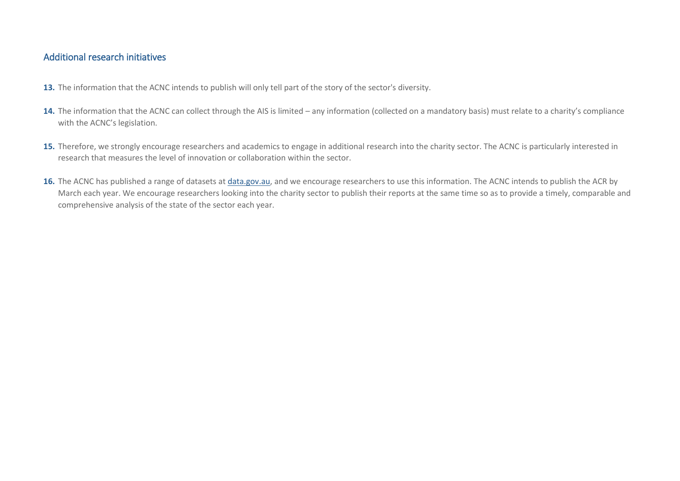### Additional research initiatives

- **13.** The information that the ACNC intends to publish will only tell part of the story of the sector's diversity.
- 14. The information that the ACNC can collect through the AIS is limited any information (collected on a mandatory basis) must relate to a charity's compliance with the ACNC's legislation.
- 15. Therefore, we strongly encourage researchers and academics to engage in additional research into the charity sector. The ACNC is particularly interested in research that measures the level of innovation or collaboration within the sector.
- 16. The ACNC has published a range of datasets at *data.gov.au*, and we encourage researchers to use this information. The ACNC intends to publish the ACR by March each year. We encourage researchers looking into the charity sector to publish their reports at the same time so as to provide a timely, comparable and comprehensive analysis of the state of the sector each year.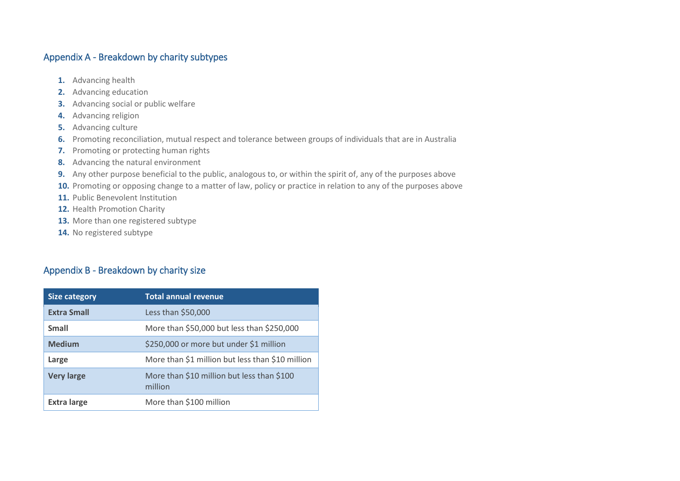### Appendix A - Breakdown by charity subtypes

- **1.** Advancing health
- **2.** Advancing education
- **3.** Advancing social or public welfare
- **4.** Advancing religion
- **5.** Advancing culture
- **6.** Promoting reconciliation, mutual respect and tolerance between groups of individuals that are in Australia
- **7.** Promoting or protecting human rights
- **8.** Advancing the natural environment
- **9.** Any other purpose beneficial to the public, analogous to, or within the spirit of, any of the purposes above
- **10.** Promoting or opposing change to a matter of law, policy or practice in relation to any of the purposes above
- **11.** Public Benevolent Institution
- **12.** Health Promotion Charity
- **13.** More than one registered subtype
- **14.** No registered subtype

### Appendix B - Breakdown by charity size

| <b>Size category</b> | <b>Total annual revenue</b>                           |
|----------------------|-------------------------------------------------------|
| <b>Extra Small</b>   | Less than \$50,000                                    |
| Small                | More than \$50,000 but less than \$250,000            |
| <b>Medium</b>        | \$250,000 or more but under \$1 million               |
| Large                | More than \$1 million but less than \$10 million      |
| <b>Very large</b>    | More than \$10 million but less than \$100<br>million |
| <b>Extra large</b>   | More than \$100 million                               |